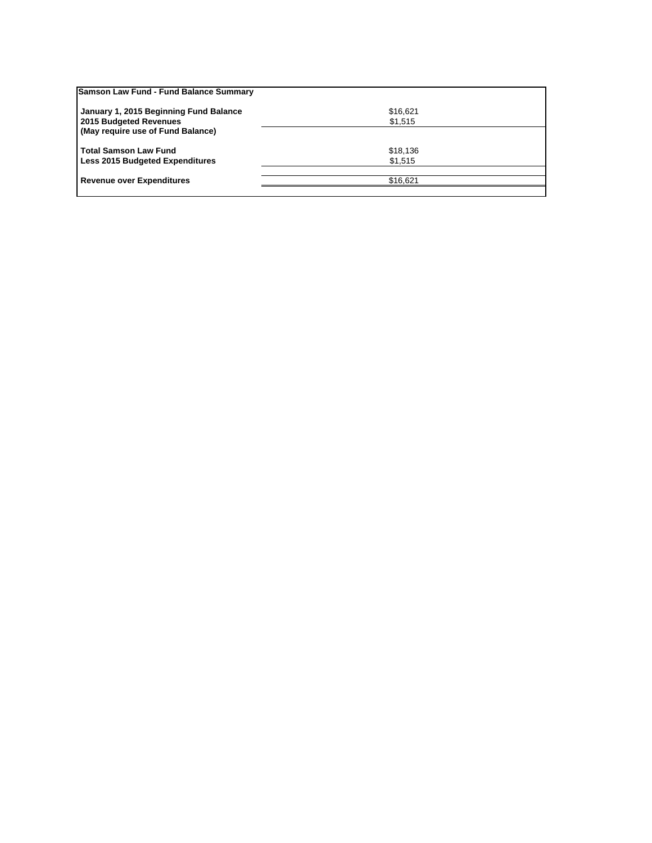| Samson Law Fund - Fund Balance Summary                      |          |  |
|-------------------------------------------------------------|----------|--|
| January 1, 2015 Beginning Fund Balance                      | \$16,621 |  |
| 2015 Budgeted Revenues<br>(May require use of Fund Balance) | \$1,515  |  |
| l Total Samson Law Fund                                     | \$18,136 |  |
| Less 2015 Budgeted Expenditures                             | \$1,515  |  |
| Revenue over Expenditures                                   | \$16.621 |  |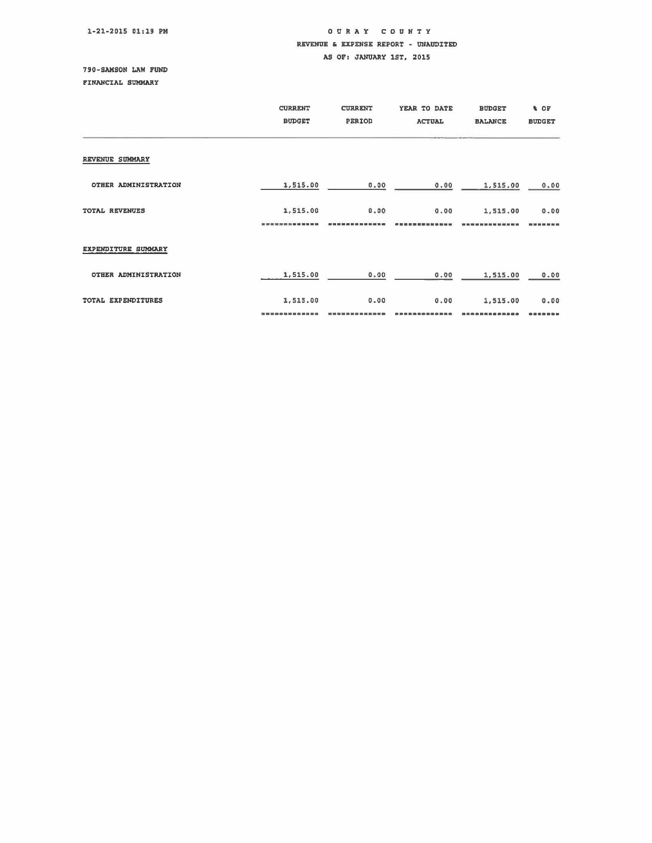## 1-21-2015 01:19 PM

## OURAY COUNTY REVENUE • EXPENSE REPORT - UNAUDITED AS OF: JANUARY 1ST, 2015

## 79D-SAMSON LAW FUND

FINANCIAL SUMMARY

|                      | <b>CURRENT</b><br><b>BUDGET</b> | <b>CURRENT</b><br>PERIOD | YEAR TO DATE<br><b>ACTUAL</b> | <b>BUDGET</b><br><b>BALANCE</b> | <b>&amp; OF</b><br><b>BUDGET</b> |
|----------------------|---------------------------------|--------------------------|-------------------------------|---------------------------------|----------------------------------|
| REVENUE SUMMARY      |                                 |                          |                               |                                 |                                  |
| OTHER ADMINISTRATION | 1,515.00                        | 0.00                     | 0.00                          | 1,515.00                        | 0.00                             |
| TOTAL REVENUES       | 1,515.00                        | 0.00                     | 0.00                          | 1,515.00                        | 0.00<br>---------                |
| EXPENDITURE SUMMARY  |                                 |                          |                               |                                 |                                  |
| OTHER ADMINISTRATION | 1,515.00                        | 0.00                     | 0.00                          | 1,515.00                        | 0.00                             |
| TOTAL EXPENDITURES   | 1,515.00                        | 0.00                     | 0.00                          | 1,515.00                        | 0.00<br>39 88 88 88              |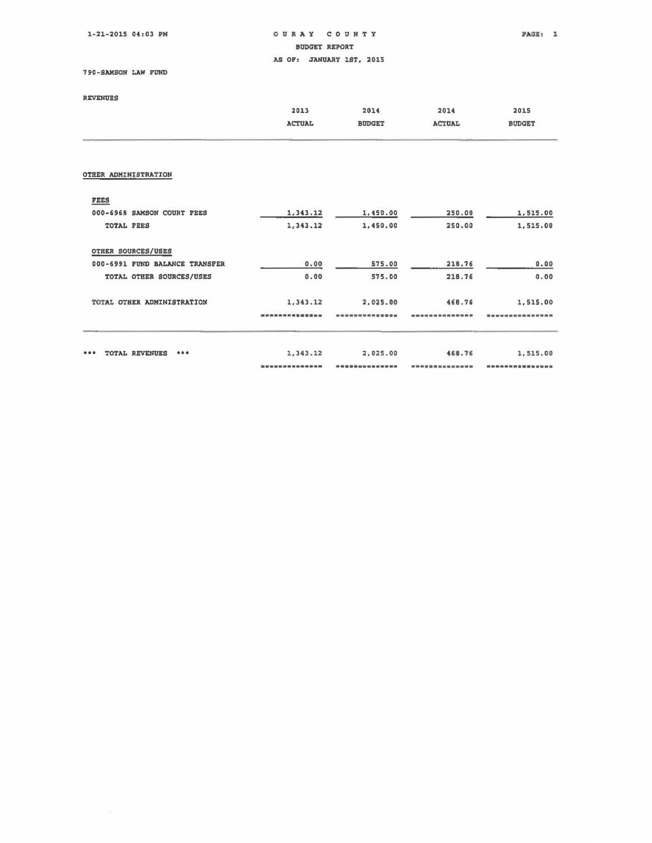$1-21-2015$  04:03 PM

o U • A Y CO U N T Y BDUOET REPORT

 $PAGE: 1$ 

AS OF: JANUARY 1ST, 2015

790-SAMSON LAW FUND

| <b>REVENUES</b>                |               |               |               |               |
|--------------------------------|---------------|---------------|---------------|---------------|
|                                | 2013          | 2014          | 2014          | 2015          |
|                                | <b>ACTUAL</b> | <b>BUDGET</b> | <b>ACTUAL</b> | <b>BUDGET</b> |
| OTHER ADMINISTRATION           |               |               |               |               |
| <b>FEES</b>                    |               |               |               |               |
| 000-6968 SAMSON COURT FEES     | 1,343.12      | 1,450.00      | 250.00        | 1,515.00      |
| TOTAL FEES                     | 1,343.12      | 1,450.00      | 250.00        | 1,515.00      |
| OTHER SOURCES/USES             |               |               |               |               |
| 000-6991 FUND BALANCE TRANSFER | 0.00          | 575.00        | 218.76        | 0.00          |
| TOTAL OTHER SOURCES/USES       | 0.00          | 575.00        | 218.76        | 0.00          |
| TOTAL OTHER ADMINISTRATION     |               |               | 468.76        | 1,515.00      |
|                                | 1,343.12      | 2,025.00      |               |               |
|                                |               |               |               |               |